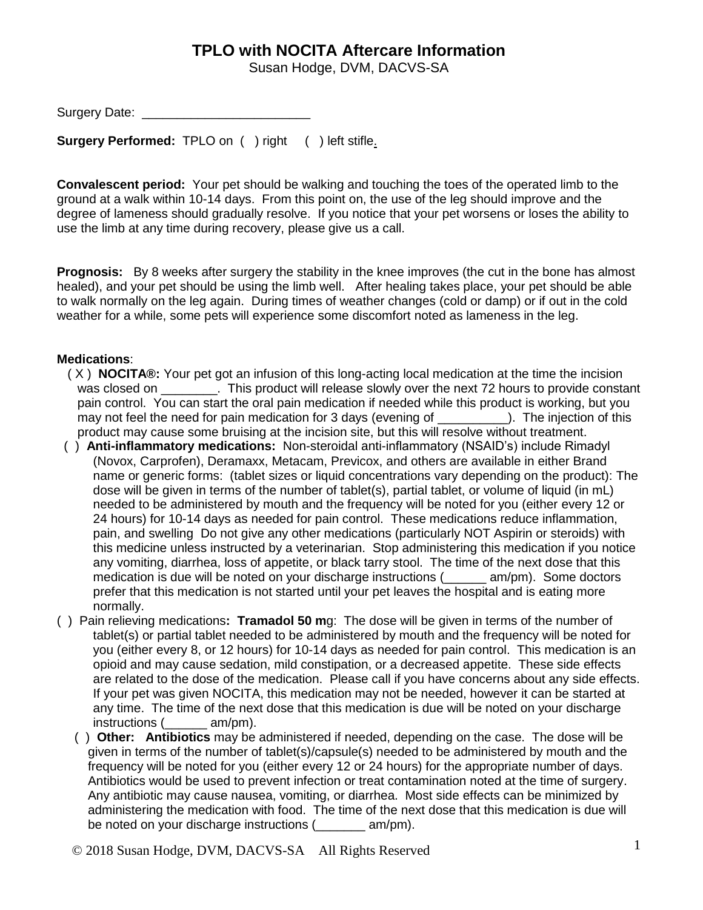## **TPLO with NOCITA Aftercare Information**

Susan Hodge, DVM, DACVS-SA

Surgery Date: **Example 20** 

**Surgery Performed:** TPLO on ( ) right ( ) left stifle.

**Convalescent period:** Your pet should be walking and touching the toes of the operated limb to the ground at a walk within 10-14 days. From this point on, the use of the leg should improve and the degree of lameness should gradually resolve. If you notice that your pet worsens or loses the ability to use the limb at any time during recovery, please give us a call.

**Prognosis:** By 8 weeks after surgery the stability in the knee improves (the cut in the bone has almost healed), and your pet should be using the limb well. After healing takes place, your pet should be able to walk normally on the leg again. During times of weather changes (cold or damp) or if out in the cold weather for a while, some pets will experience some discomfort noted as lameness in the leg.

## **Medications**:

- ( X ) **NOCITA®:** Your pet got an infusion of this long-acting local medication at the time the incision was closed on \_\_\_\_\_\_\_\_. This product will release slowly over the next 72 hours to provide constant pain control. You can start the oral pain medication if needed while this product is working, but you may not feel the need for pain medication for 3 days (evening of \_\_\_\_\_\_\_\_\_\_). The injection of this product may cause some bruising at the incision site, but this will resolve without treatment.
- ( ) **Anti-inflammatory medications:** Non-steroidal anti-inflammatory (NSAID's) include Rimadyl (Novox, Carprofen), Deramaxx, Metacam, Previcox, and others are available in either Brand name or generic forms: (tablet sizes or liquid concentrations vary depending on the product): The dose will be given in terms of the number of tablet(s), partial tablet, or volume of liquid (in mL) needed to be administered by mouth and the frequency will be noted for you (either every 12 or 24 hours) for 10-14 days as needed for pain control. These medications reduce inflammation, pain, and swelling Do not give any other medications (particularly NOT Aspirin or steroids) with this medicine unless instructed by a veterinarian. Stop administering this medication if you notice any vomiting, diarrhea, loss of appetite, or black tarry stool. The time of the next dose that this medication is due will be noted on your discharge instructions (
<u></u> \_\_\_\_\_ am/pm). Some doctors prefer that this medication is not started until your pet leaves the hospital and is eating more normally.
- ( ) Pain relieving medications**: Tramadol 50 m**g: The dose will be given in terms of the number of tablet(s) or partial tablet needed to be administered by mouth and the frequency will be noted for you (either every 8, or 12 hours) for 10-14 days as needed for pain control. This medication is an opioid and may cause sedation, mild constipation, or a decreased appetite. These side effects are related to the dose of the medication. Please call if you have concerns about any side effects. If your pet was given NOCITA, this medication may not be needed, however it can be started at any time. The time of the next dose that this medication is due will be noted on your discharge instructions ( $\_\_\_\_\_$ am/pm). instructions (
	- ( ) **Other: Antibiotics** may be administered if needed, depending on the case. The dose will be given in terms of the number of tablet(s)/capsule(s) needed to be administered by mouth and the frequency will be noted for you (either every 12 or 24 hours) for the appropriate number of days. Antibiotics would be used to prevent infection or treat contamination noted at the time of surgery. Any antibiotic may cause nausea, vomiting, or diarrhea. Most side effects can be minimized by administering the medication with food. The time of the next dose that this medication is due will be noted on your discharge instructions (\_\_\_\_\_\_\_ am/pm).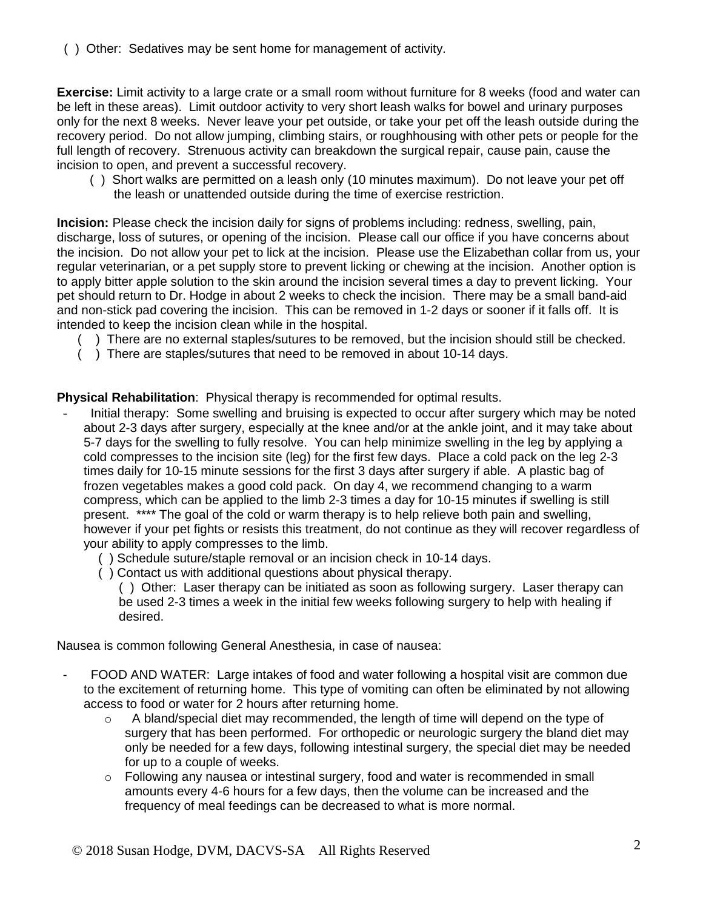( ) Other: Sedatives may be sent home for management of activity.

**Exercise:** Limit activity to a large crate or a small room without furniture for 8 weeks (food and water can be left in these areas). Limit outdoor activity to very short leash walks for bowel and urinary purposes only for the next 8 weeks. Never leave your pet outside, or take your pet off the leash outside during the recovery period. Do not allow jumping, climbing stairs, or roughhousing with other pets or people for the full length of recovery. Strenuous activity can breakdown the surgical repair, cause pain, cause the incision to open, and prevent a successful recovery.

 ( ) Short walks are permitted on a leash only (10 minutes maximum). Do not leave your pet off the leash or unattended outside during the time of exercise restriction.

**Incision:** Please check the incision daily for signs of problems including: redness, swelling, pain, discharge, loss of sutures, or opening of the incision. Please call our office if you have concerns about the incision. Do not allow your pet to lick at the incision. Please use the Elizabethan collar from us, your regular veterinarian, or a pet supply store to prevent licking or chewing at the incision. Another option is to apply bitter apple solution to the skin around the incision several times a day to prevent licking. Your pet should return to Dr. Hodge in about 2 weeks to check the incision. There may be a small band-aid and non-stick pad covering the incision. This can be removed in 1-2 days or sooner if it falls off. It is intended to keep the incision clean while in the hospital.

- ( ) There are no external staples/sutures to be removed, but the incision should still be checked.
- ( ) There are staples/sutures that need to be removed in about 10-14 days.

**Physical Rehabilitation**: Physical therapy is recommended for optimal results.

- Initial therapy: Some swelling and bruising is expected to occur after surgery which may be noted about 2-3 days after surgery, especially at the knee and/or at the ankle joint, and it may take about 5-7 days for the swelling to fully resolve. You can help minimize swelling in the leg by applying a cold compresses to the incision site (leg) for the first few days. Place a cold pack on the leg 2-3 times daily for 10-15 minute sessions for the first 3 days after surgery if able. A plastic bag of frozen vegetables makes a good cold pack. On day 4, we recommend changing to a warm compress, which can be applied to the limb 2-3 times a day for 10-15 minutes if swelling is still present. \*\*\*\* The goal of the cold or warm therapy is to help relieve both pain and swelling, however if your pet fights or resists this treatment, do not continue as they will recover regardless of your ability to apply compresses to the limb.
	- ( ) Schedule suture/staple removal or an incision check in 10-14 days.
	- ( ) Contact us with additional questions about physical therapy.

( ) Other: Laser therapy can be initiated as soon as following surgery. Laser therapy can be used 2-3 times a week in the initial few weeks following surgery to help with healing if desired.

Nausea is common following General Anesthesia, in case of nausea:

- FOOD AND WATER: Large intakes of food and water following a hospital visit are common due to the excitement of returning home. This type of vomiting can often be eliminated by not allowing access to food or water for 2 hours after returning home.
	- $\circ$  A bland/special diet may recommended, the length of time will depend on the type of surgery that has been performed. For orthopedic or neurologic surgery the bland diet may only be needed for a few days, following intestinal surgery, the special diet may be needed for up to a couple of weeks.
	- $\circ$  Following any nausea or intestinal surgery, food and water is recommended in small amounts every 4-6 hours for a few days, then the volume can be increased and the frequency of meal feedings can be decreased to what is more normal.